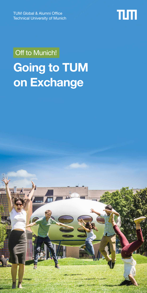TUM Global & Alumni Office Technical University of Munich



# Off to Munich! **Going to TUM on Exchange**

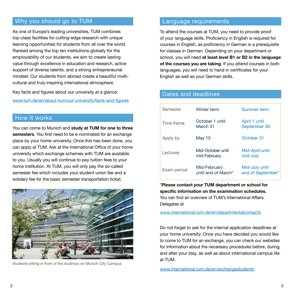# Why you should go to TUM

As one of Europe's leading universities, TUM combines top-class facilities for cutting-edge research with unique learning opportunities for students from all over the world. Ranked among the top ten institutions globally for the employability of our students, we aim to create lasting value through excellence in education and research, active support of diverse talents, and a strong entrepreneurial mindset. Our students from abroad create a beautiful multicultural and truly inspiring international atmosphere.

Key facts and figures about our university at a glance: [www.tum.de/en/about-tum/our-university/facts-and-figures](http://www.tum.de/en/about-tum/our-university/facts-and-figures )

# How it works

You can come to Munich and **study at TUM for one to three semesters**. You first need to be e-nominated for an exchange place by your home university. Once this has been done, you can apply at TUM. Ask at the International Office of your home university which exchange schemes with TUM are available to you. Usually you will continue to pay tuition fees to your home institution. At TUM, you will only pay the so-called semester fee which includes your student union fee and a solidary fee for the basic semester transportation ticket.



Students sitting in front of the Audimax on Munich City Campus

# Language requirements

To attend the courses at TUM, you need to provide proof of your language skills. Proficiency in English is required for courses in English, as proficiency in German is a prerequisite for classes in German. Depending on your department or school, you will need **at least level B1 or B2 in the language of the courses you are taking**. If you attend courses in both languages, you will need to hand in certificates for your English as well as your German skills.

| Semester    | Winter term                         | Summer term                         |
|-------------|-------------------------------------|-------------------------------------|
| Time frame  | October 1 until<br>March 31         | April 1 until<br>September 30       |
| Apply by    | May 15                              | October 31                          |
| Lectures    | Mid-October until<br>mid-February   | Mid-April until<br>mid-July         |
| Exam period | Mid-February<br>until end of March* | Mid-July until<br>end of September* |

#### Dates and deadlines

\***Please contact your TUM department or school for specific information on the examination schedules.** You can find an overview of TUM's International Affairs Delegates at

[www.international.tum.de/en/departmentalcontacts](http://www.international.tum.de/en/departmentalcontacts)

Do not forget to ask for the internal application deadlines at your home university. Once you have decided you would like to come to TUM for an exchange, you can check our websites for information about the necessary procedures before, during, and after your stay, as well as about international campus life at TUM.

www.international.tum.de/en/exchangestudents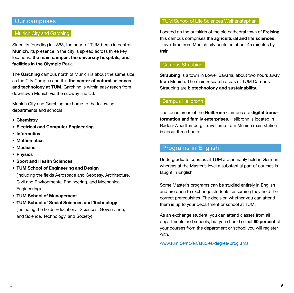## Our campuses

#### Munich City and Garching

Since its founding in 1868, the heart of TUM beats in central **Munich**. Its presence in the city is spread across three key locations: **the main campus, the university hospitals, and facilities in the Olympic Park.**

The **Garching** campus north of Munich is about the same size as the City Campus and it is **the center of natural sciences and technology at TUM**. Garching is within easy reach from downtown Munich via the subway line U6.

Munich City and Garching are home to the following departments and schools:

- **• Chemistry**
- **• Electrical and Computer Engineering**
- **• Informatics**
- **• Mathematics**
- **• Medicine**
- **• Physics**
- **• Sport and Health Sciences**
- **• TUM School of Engineering and Design**  (including the fields Aerospace and Geodesy, Architecture, Civil and Environmental Engineering, and Mechanical Engineering)
- **• TUM School of Management**
- **• TUM School of Social Sciences and Technology**  (including the fields Educational Sciences, Governance, and Science, Technology, and Society)

### TUM School of Life Sciences Weihenstephan

Located on the outskirts of the old cathedral town of **Freising**, this campus comprises the **agricultural and life sciences**. Travel time from Munich city center is about 45 minutes by train.

#### Campus Straubing

**Straubing** is a town in Lower Bavaria, about two hours away from Munich. The main research areas of TUM Campus Straubing are **biotechnology and sustainability**.

## Campus Heilbronn

The focus areas of the **Heilbronn** Campus are **digital transformation and family enterprises**. Heilbronn is located in Baden-Wuerttemberg. Travel time from Munich main station is about three hours.

# Programs in English

Undergraduate courses at TUM are primarily held in German, whereas at the Master's level a substantial part of courses is taught in English.

Some Master's programs can be studied entirely in English and are open to exchange students, assuming they hold the correct prerequisites. The decision whether you can attend them is up to your department or school at TUM.

As an exchange student, you can attend classes from all departments and schools, but you should select **60 percent** of your courses from the department or school you will register with.

www.tum.de/nc/en/studies/degree-programs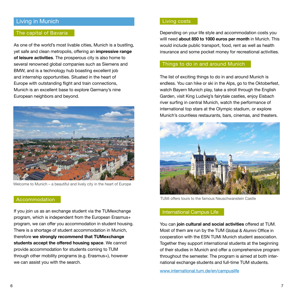# Living in Munich

I

#### The capital of Bavaria

As one of the world's most livable cities, Munich is a bustling, yet safe and clean metropolis, offering an **impressive range of leisure activities**. The prosperous city is also home to several renowned global companies such as Siemens and BMW, and is a technology hub boasting excellent job and internship opportunities. Situated in the heart of Europe with outstanding flight and train connections, Munich is an excellent base to explore Germany's nine European neighbors and beyond.



Welcome to Munich – a beautiful and lively city in the heart of Europe

#### Accommodation

If you join us as an exchange student via the TUMexchange program, which is independent from the European Erasmus+ program, we can offer you accommodation in student housing. There is a shortage of student accommodation in Munich, therefore **we strongly recommend that TUMexchange students accept the offered housing space**. We cannot provide accommodation for students coming to TUM through other mobility programs (e.g. Erasmus+), however we can assist you with the search.

#### Living costs

Depending on your life style and accommodation costs you willl need **about 850 to 1000 euros per month** in Munich. This would include public transport, food, rent as well as health insurance and some pocket money for recreational activities.

## Things to do in and around Munich

The list of exciting things to do in and around Munich is endless. You can hike or ski in the Alps, go to the Oktoberfest, watch Bayern Munich play, take a stroll through the English Garden, visit King Ludwig's fairytale castles, enjoy Eisbach river surfing in central Munich, watch the performance of international top stars at the Olympic stadium, or explore Munich's countless restaurants, bars, cinemas, and theaters.



TUMi offers tours to the famous Neuschwanstein Castle

## International Campus Life

You can **join cultural and social activities** offered at TUM. Most of them are run by the TUM Global & Alumni Office in cooperation with the ESN TUMi Munich student association. Together they support international students at the beginning of their studies in Munich and offer a comprehensive program throughout the semester. The program is aimed at both international exchange students and full-time TUM students.

[www.international.tum.de/en/campuslife](https://www.international.tum.de/en/campuslife/)